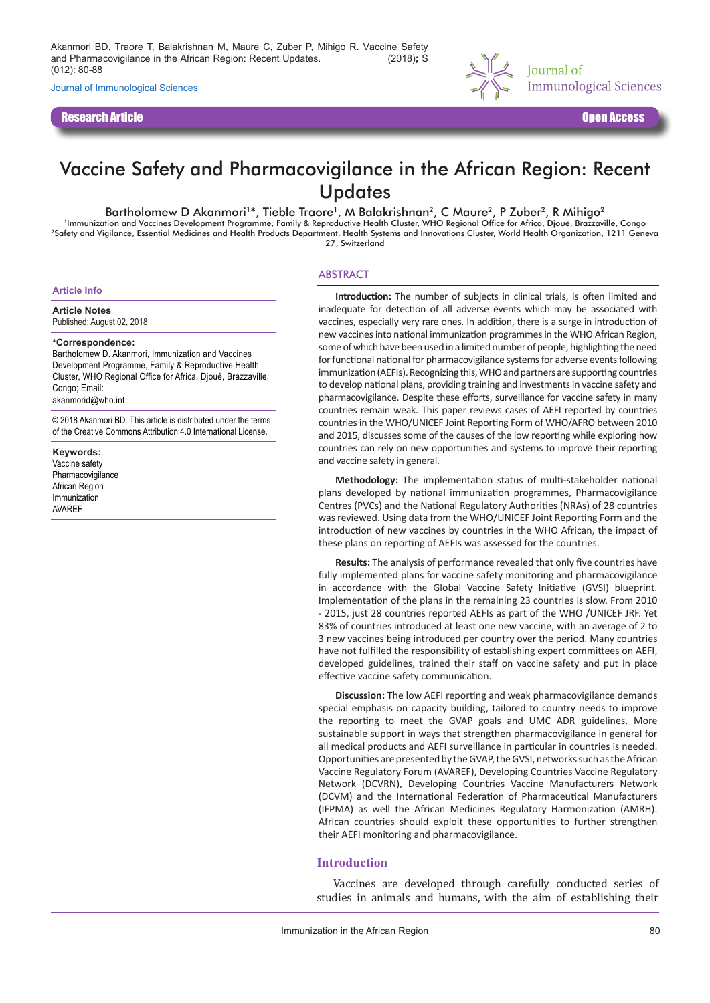Akanmori BD, Traore T, Balakrishnan M, Maure C, Zuber P, Mihigo R. Vaccine Safety and Pharmacovigilance in the African Region: Recent Updates. J Immunol Sci (2018)**;** S (012): 80-88

Journal of Immunological Sciences

Research Article Open Access



# Vaccine Safety and Pharmacovigilance in the African Region: Recent **Updates**

#### Bartholomew D Akanmori<sup>1\*</sup>, Tieble Traore<sup>1</sup>, M Balakrishnan<sup>2</sup>, C Maure<sup>2</sup>, P Zuber<sup>2</sup>, R Mihigo<sup>2</sup>

<sup>1</sup>Immunization and Vaccines Development Programme, Family & Reproductive Health Cluster, WHO Regional Office for Africa, Djoué, Brazzaville, Congo 2Safety and Vigilance, Essential Medicines and Health Products Department, Health Systems and Innovations Cluster, World Health Organization, 1211 Geneva 27, Switzerland

#### ABSTRACT

**Article Info**

**Article Notes** Published: August 02, 2018

#### **\*Correspondence:**

Bartholomew D. Akanmori, Immunization and Vaccines Development Programme, Family & Reproductive Health Cluster, WHO Regional Office for Africa, Djoué, Brazzaville, Congo; Email: akanmorid@who.int

© 2018 Akanmori BD. This article is distributed under the terms of the Creative Commons Attribution 4.0 International License.

**Keywords:** Vaccine safety **Pharmacovigilance** African Region Immunization AVAREF

**Introduction:** The number of subjects in clinical trials, is often limited and inadequate for detection of all adverse events which may be associated with vaccines, especially very rare ones. In addition, there is a surge in introduction of new vaccines into national immunization programmes in the WHO African Region, some of which have been used in a limited number of people, highlighting the need for functional national for pharmacovigilance systems for adverse events following immunization (AEFIs). Recognizing this, WHO and partners are supporting countries to develop national plans, providing training and investments in vaccine safety and pharmacovigilance. Despite these efforts, surveillance for vaccine safety in many countries remain weak. This paper reviews cases of AEFI reported by countries countries in the WHO/UNICEF Joint Reporting Form of WHO/AFRO between 2010 and 2015, discusses some of the causes of the low reporting while exploring how countries can rely on new opportunities and systems to improve their reporting and vaccine safety in general.

**Methodology:** The implementation status of multi-stakeholder national plans developed by national immunization programmes, Pharmacovigilance Centres (PVCs) and the National Regulatory Authorities (NRAs) of 28 countries was reviewed. Using data from the WHO/UNICEF Joint Reporting Form and the introduction of new vaccines by countries in the WHO African, the impact of these plans on reporting of AEFIs was assessed for the countries.

**Results:** The analysis of performance revealed that only five countries have fully implemented plans for vaccine safety monitoring and pharmacovigilance in accordance with the Global Vaccine Safety Initiative (GVSI) blueprint. Implementation of the plans in the remaining 23 countries is slow. From 2010 - 2015, just 28 countries reported AEFIs as part of the WHO /UNICEF JRF. Yet 83% of countries introduced at least one new vaccine, with an average of 2 to 3 new vaccines being introduced per country over the period. Many countries have not fulfilled the responsibility of establishing expert committees on AEFI, developed guidelines, trained their staff on vaccine safety and put in place effective vaccine safety communication.

**Discussion:** The low AEFI reporting and weak pharmacovigilance demands special emphasis on capacity building, tailored to country needs to improve the reporting to meet the GVAP goals and UMC ADR guidelines. More sustainable support in ways that strengthen pharmacovigilance in general for all medical products and AEFI surveillance in particular in countries is needed. Opportunities are presented by the GVAP, the GVSI, networks such as the African Vaccine Regulatory Forum (AVAREF), Developing Countries Vaccine Regulatory Network (DCVRN), Developing Countries Vaccine Manufacturers Network (DCVM) and the International Federation of Pharmaceutical Manufacturers (IFPMA) as well the African Medicines Regulatory Harmonization (AMRH). African countries should exploit these opportunities to further strengthen their AEFI monitoring and pharmacovigilance.

#### **Introduction**

Vaccines are developed through carefully conducted series of studies in animals and humans, with the aim of establishing their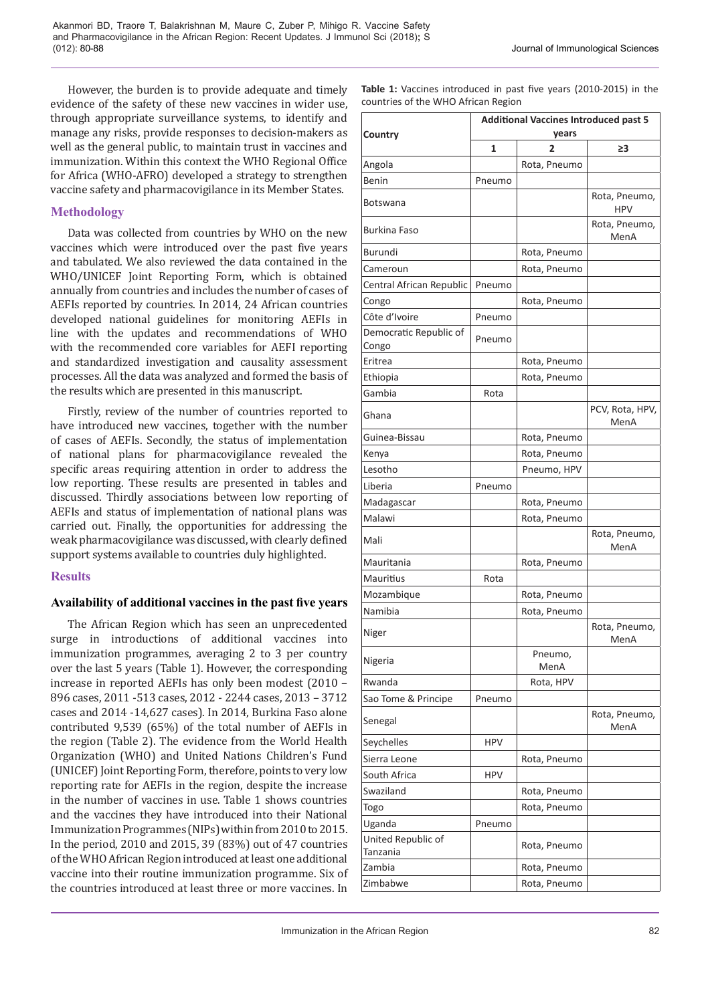However, the burden is to provide adequate and timely evidence of the safety of these new vaccines in wider use, through appropriate surveillance systems, to identify and manage any risks, provide responses to decision-makers as well as the general public, to maintain trust in vaccines and immunization. Within this context the WHO Regional Office for Africa (WHO-AFRO) developed a strategy to strengthen vaccine safety and pharmacovigilance in its Member States.

# **Methodology**

Data was collected from countries by WHO on the new vaccines which were introduced over the past five years and tabulated. We also reviewed the data contained in the WHO/UNICEF Joint Reporting Form, which is obtained annually from countries and includes the number of cases of AEFIs reported by countries. In 2014, 24 African countries developed national guidelines for monitoring AEFIs in line with the updates and recommendations of WHO with the recommended core variables for AEFI reporting and standardized investigation and causality assessment processes. All the data was analyzed and formed the basis of the results which are presented in this manuscript.

Firstly, review of the number of countries reported to have introduced new vaccines, together with the number of cases of AEFIs. Secondly, the status of implementation of national plans for pharmacovigilance revealed the specific areas requiring attention in order to address the low reporting. These results are presented in tables and discussed. Thirdly associations between low reporting of AEFIs and status of implementation of national plans was carried out. Finally, the opportunities for addressing the weak pharmacovigilance was discussed, with clearly defined support systems available to countries duly highlighted.

# **Results**

# **Availability of additional vaccines in the past five years**

The African Region which has seen an unprecedented surge in introductions of additional vaccines into immunization programmes, averaging 2 to 3 per country over the last 5 years (Table 1). However, the corresponding increase in reported AEFIs has only been modest (2010 – 896 cases, 2011 -513 cases, 2012 - 2244 cases, 2013 – 3712 cases and 2014 -14,627 cases). In 2014, Burkina Faso alone contributed 9,539 (65%) of the total number of AEFIs in the region (Table 2). The evidence from the World Health Organization (WHO) and United Nations Children's Fund (UNICEF) Joint Reporting Form, therefore, points to very low reporting rate for AEFIs in the region, despite the increase in the number of vaccines in use. Table 1 shows countries and the vaccines they have introduced into their National Immunization Programmes (NIPs) within from 2010 to 2015. In the period, 2010 and 2015, 39 (83%) out of 47 countries of the WHO African Region introduced at least one additional vaccine into their routine immunization programme. Six of the countries introduced at least three or more vaccines. In

|                                          | <b>Additional Vaccines Introduced past 5</b> |                              |                         |  |
|------------------------------------------|----------------------------------------------|------------------------------|-------------------------|--|
| Country                                  | years<br>1<br>2                              |                              | ≥3                      |  |
| Angola                                   |                                              | Rota, Pneumo                 |                         |  |
| Benin                                    | Pneumo                                       |                              |                         |  |
|                                          |                                              |                              | Rota, Pneumo,           |  |
| <b>Botswana</b>                          |                                              |                              | <b>HPV</b>              |  |
| <b>Burkina Faso</b>                      |                                              |                              | Rota, Pneumo,<br>MenA   |  |
| Burundi                                  |                                              | Rota, Pneumo                 |                         |  |
| Cameroun                                 |                                              | Rota, Pneumo                 |                         |  |
| Central African Republic                 | Pneumo                                       |                              |                         |  |
| Congo                                    |                                              | Rota, Pneumo                 |                         |  |
| Côte d'Ivoire                            | Pneumo                                       |                              |                         |  |
| Democratic Republic of<br>Congo          | Pneumo                                       |                              |                         |  |
| Eritrea                                  |                                              | Rota, Pneumo                 |                         |  |
| Ethiopia                                 |                                              | Rota, Pneumo                 |                         |  |
| Gambia                                   | Rota                                         |                              |                         |  |
| Ghana                                    |                                              |                              | PCV, Rota, HPV,<br>MenA |  |
| Guinea-Bissau                            |                                              | Rota, Pneumo                 |                         |  |
| Kenya                                    |                                              | Rota, Pneumo                 |                         |  |
| Lesotho                                  |                                              | Pneumo, HPV                  |                         |  |
| Liberia                                  | Pneumo                                       |                              |                         |  |
| Madagascar                               |                                              | Rota, Pneumo                 |                         |  |
| Malawi                                   |                                              | Rota, Pneumo                 |                         |  |
| Mali                                     |                                              |                              | Rota, Pneumo,<br>MenA   |  |
| Mauritania                               |                                              | Rota, Pneumo                 |                         |  |
| Mauritius                                | Rota                                         |                              |                         |  |
| Mozambique                               |                                              | Rota, Pneumo                 |                         |  |
| Namibia                                  |                                              | Rota, Pneumo                 |                         |  |
| Niger                                    |                                              |                              | Rota, Pneumo,<br>MenA   |  |
| Nigeria                                  |                                              | Pneumo,<br>MenA              |                         |  |
| Rwanda                                   |                                              | Rota, HPV                    |                         |  |
| Sao Tome & Principe                      | Pneumo                                       |                              |                         |  |
| Senegal                                  |                                              |                              | Rota, Pneumo,<br>MenA   |  |
| Seychelles                               | HPV                                          |                              |                         |  |
| Sierra Leone                             |                                              | Rota, Pneumo                 |                         |  |
| South Africa                             | <b>HPV</b>                                   |                              |                         |  |
| Swaziland                                |                                              | Rota, Pneumo                 |                         |  |
| Togo                                     |                                              | Rota, Pneumo                 |                         |  |
|                                          |                                              |                              |                         |  |
| United Republic of                       |                                              | Rota, Pneumo                 |                         |  |
|                                          |                                              |                              |                         |  |
|                                          |                                              |                              |                         |  |
| Uganda<br>Tanzania<br>Zambia<br>Zimbabwe | Pneumo                                       | Rota, Pneumo<br>Rota, Pneumo |                         |  |

**Table 1:** Vaccines introduced in past five years (2010-2015) in the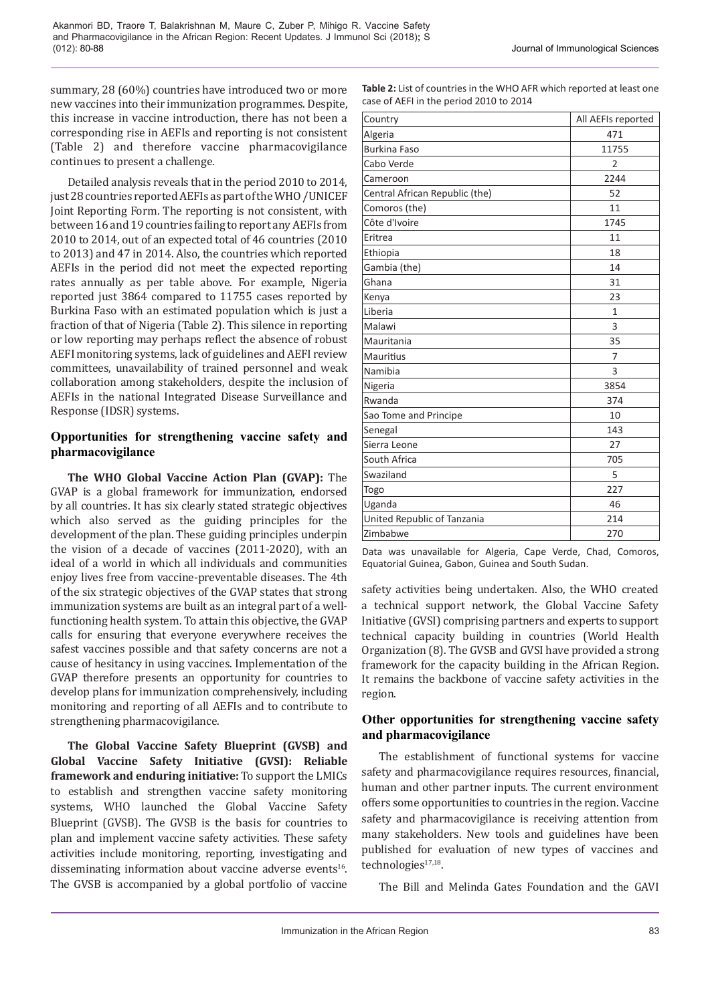summary, 28 (60%) countries have introduced two or more new vaccines into their immunization programmes. Despite, this increase in vaccine introduction, there has not been a corresponding rise in AEFIs and reporting is not consistent (Table 2) and therefore vaccine pharmacovigilance continues to present a challenge.

Detailed analysis reveals that in the period 2010 to 2014, just 28 countries reported AEFIs as part of the WHO /UNICEF Joint Reporting Form. The reporting is not consistent, with between 16 and 19 countries failing to report any AEFIs from 2010 to 2014, out of an expected total of 46 countries (2010 to 2013) and 47 in 2014. Also, the countries which reported AEFIs in the period did not meet the expected reporting rates annually as per table above. For example, Nigeria reported just 3864 compared to 11755 cases reported by Burkina Faso with an estimated population which is just a fraction of that of Nigeria (Table 2). This silence in reporting or low reporting may perhaps reflect the absence of robust AEFI monitoring systems, lack of guidelines and AEFI review committees, unavailability of trained personnel and weak collaboration among stakeholders, despite the inclusion of AEFIs in the national Integrated Disease Surveillance and Response (IDSR) systems.

# **Opportunities for strengthening vaccine safety and pharmacovigilance**

**The WHO Global Vaccine Action Plan (GVAP):** The GVAP is a global framework for immunization, endorsed by all countries. It has six clearly stated strategic objectives which also served as the guiding principles for the development of the plan. These guiding principles underpin the vision of a decade of vaccines (2011-2020), with an ideal of a world in which all individuals and communities enjoy lives free from vaccine-preventable diseases. The 4th of the six strategic objectives of the GVAP states that strong immunization systems are built as an integral part of a wellfunctioning health system. To attain this objective, the GVAP calls for ensuring that everyone everywhere receives the safest vaccines possible and that safety concerns are not a cause of hesitancy in using vaccines. Implementation of the GVAP therefore presents an opportunity for countries to develop plans for immunization comprehensively, including monitoring and reporting of all AEFIs and to contribute to strengthening pharmacovigilance.

**The Global Vaccine Safety Blueprint (GVSB) and Global Vaccine Safety Initiative (GVSI): Reliable framework and enduring initiative:** To support the LMICs to establish and strengthen vaccine safety monitoring systems, WHO launched the Global Vaccine Safety Blueprint (GVSB). The GVSB is the basis for countries to plan and implement vaccine safety activities. These safety activities include monitoring, reporting, investigating and disseminating information about vaccine adverse events<sup>16</sup>. The GVSB is accompanied by a global portfolio of vaccine

| <b>Table 2:</b> List of countries in the WHO AFR which reported at least one |
|------------------------------------------------------------------------------|
| case of AEFI in the period 2010 to 2014                                      |

| Country                        | All AEFIs reported |
|--------------------------------|--------------------|
| Algeria                        | 471                |
| <b>Burkina Faso</b>            | 11755              |
| Cabo Verde                     | $\overline{2}$     |
| Cameroon                       | 2244               |
| Central African Republic (the) | 52                 |
| Comoros (the)                  | 11                 |
| Côte d'Ivoire                  | 1745               |
| Eritrea                        | 11                 |
| Ethiopia                       | 18                 |
| Gambia (the)                   | 14                 |
| Ghana                          | 31                 |
| Kenya                          | 23                 |
| Liberia                        | $\mathbf{1}$       |
| Malawi                         | 3                  |
| Mauritania                     | 35                 |
| <b>Mauritius</b>               | 7                  |
| Namibia                        | 3                  |
| Nigeria                        | 3854               |
| Rwanda                         | 374                |
| Sao Tome and Principe          | 10                 |
| Senegal                        | 143                |
| Sierra Leone                   | 27                 |
| South Africa                   | 705                |
| Swaziland                      | 5                  |
| Togo                           | 227                |
| Uganda                         | 46                 |
| United Republic of Tanzania    | 214                |
| Zimbabwe                       | 270                |

Data was unavailable for Algeria, Cape Verde, Chad, Comoros, Equatorial Guinea, Gabon, Guinea and South Sudan.

safety activities being undertaken. Also, the WHO created a technical support network, the Global Vaccine Safety Initiative (GVSI) comprising partners and experts to support technical capacity building in countries (World Health Organization (8). The GVSB and GVSI have provided a strong framework for the capacity building in the African Region. It remains the backbone of vaccine safety activities in the region.

# **Other opportunities for strengthening vaccine safety and pharmacovigilance**

The establishment of functional systems for vaccine safety and pharmacovigilance requires resources, financial, human and other partner inputs. The current environment offers some opportunities to countries in the region. Vaccine safety and pharmacovigilance is receiving attention from many stakeholders. New tools and guidelines have been published for evaluation of new types of vaccines and technologies $17,18$ .

The Bill and Melinda Gates Foundation and the GAVI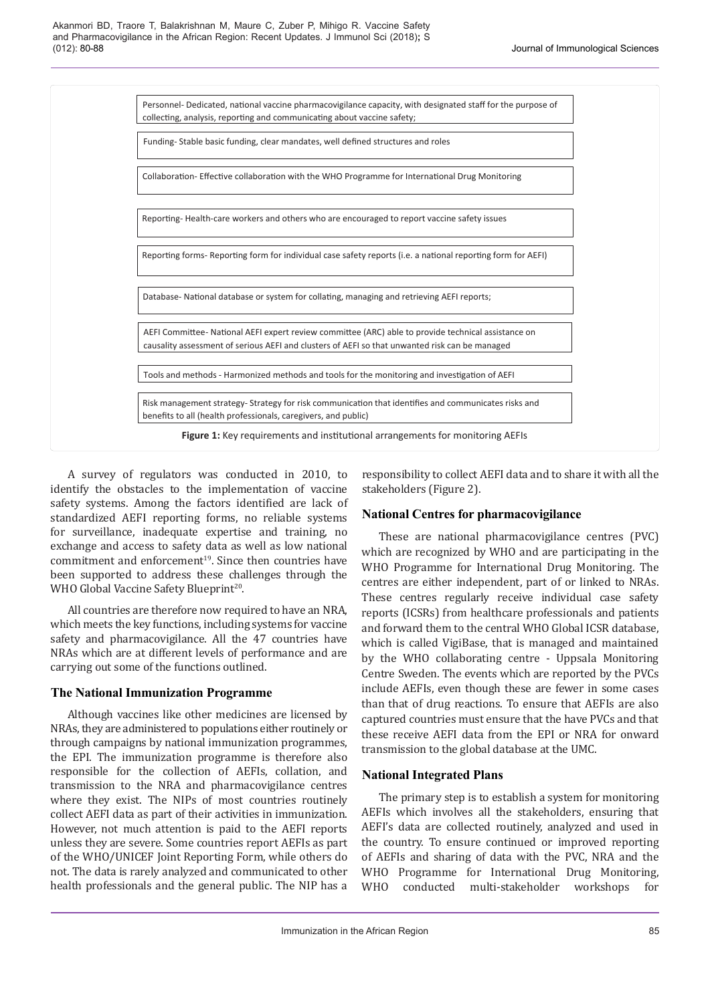

A survey of regulators was conducted in 2010, to identify the obstacles to the implementation of vaccine safety systems. Among the factors identified are lack of standardized AEFI reporting forms, no reliable systems for surveillance, inadequate expertise and training, no exchange and access to safety data as well as low national commitment and enforcement<sup>19</sup>. Since then countries have been supported to address these challenges through the WHO Global Vaccine Safety Blueprint<sup>20</sup>.

All countries are therefore now required to have an NRA, which meets the key functions, including systems for vaccine safety and pharmacovigilance. All the 47 countries have NRAs which are at different levels of performance and are carrying out some of the functions outlined.

# **The National Immunization Programme**

Although vaccines like other medicines are licensed by NRAs, they are administered to populations either routinely or through campaigns by national immunization programmes, the EPI. The immunization programme is therefore also responsible for the collection of AEFIs, collation, and transmission to the NRA and pharmacovigilance centres where they exist. The NIPs of most countries routinely collect AEFI data as part of their activities in immunization. However, not much attention is paid to the AEFI reports unless they are severe. Some countries report AEFIs as part of the WHO/UNICEF Joint Reporting Form, while others do not. The data is rarely analyzed and communicated to other health professionals and the general public. The NIP has a

responsibility to collect AEFI data and to share it with all the stakeholders (Figure 2).

# **National Centres for pharmacovigilance**

These are national pharmacovigilance centres (PVC) which are recognized by WHO and are participating in the WHO Programme for International Drug Monitoring. The centres are either independent, part of or linked to NRAs. These centres regularly receive individual case safety reports (ICSRs) from healthcare professionals and patients and forward them to the central WHO Global ICSR database, which is called VigiBase, that is managed and maintained by the WHO collaborating centre - Uppsala Monitoring Centre Sweden. The events which are reported by the PVCs include AEFIs, even though these are fewer in some cases than that of drug reactions. To ensure that AEFIs are also captured countries must ensure that the have PVCs and that these receive AEFI data from the EPI or NRA for onward transmission to the global database at the UMC.

# **National Integrated Plans**

The primary step is to establish a system for monitoring AEFIs which involves all the stakeholders, ensuring that AEFI's data are collected routinely, analyzed and used in the country. To ensure continued or improved reporting of AEFIs and sharing of data with the PVC, NRA and the WHO Programme for International Drug Monitoring, WHO conducted multi-stakeholder workshops for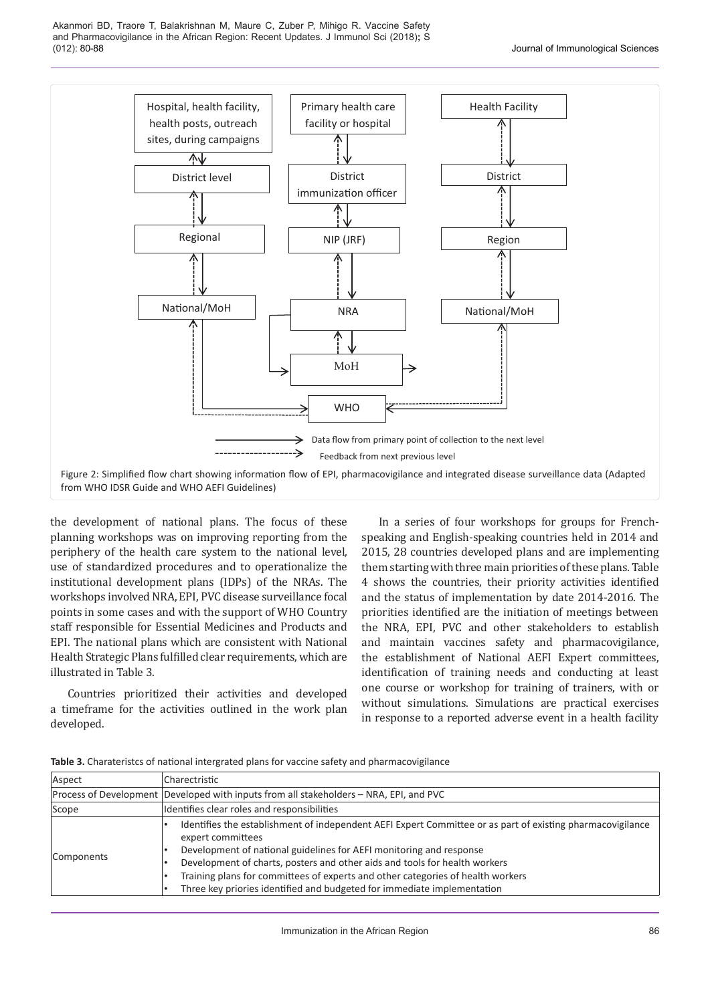Akanmori BD, Traore T, Balakrishnan M, Maure C, Zuber P, Mihigo R. Vaccine Safety and Pharmacovigilance in the African Region: Recent Updates. J Immunol Sci (2018)**;** S (012): 80-88 Journal of Immunological Sciences



the development of national plans. The focus of these planning workshops was on improving reporting from the periphery of the health care system to the national level, use of standardized procedures and to operationalize the institutional development plans (IDPs) of the NRAs. The workshops involved NRA, EPI, PVC disease surveillance focal points in some cases and with the support of WHO Country staff responsible for Essential Medicines and Products and EPI. The national plans which are consistent with National Health Strategic Plans fulfilled clear requirements, which are illustrated in Table 3.

Countries prioritized their activities and developed a timeframe for the activities outlined in the work plan developed.

In a series of four workshops for groups for Frenchspeaking and English-speaking countries held in 2014 and 2015, 28 countries developed plans and are implementing them starting with three main priorities of these plans. Table 4 shows the countries, their priority activities identified and the status of implementation by date 2014-2016. The priorities identified are the initiation of meetings between the NRA, EPI, PVC and other stakeholders to establish and maintain vaccines safety and pharmacovigilance, the establishment of National AEFI Expert committees, identification of training needs and conducting at least one course or workshop for training of trainers, with or without simulations. Simulations are practical exercises in response to a reported adverse event in a health facility

| Aspect     | Charectristic                                                                                                                                                                                                                                                                                                                                                                                                                                      |  |  |  |
|------------|----------------------------------------------------------------------------------------------------------------------------------------------------------------------------------------------------------------------------------------------------------------------------------------------------------------------------------------------------------------------------------------------------------------------------------------------------|--|--|--|
|            | Process of Development Developed with inputs from all stakeholders – NRA, EPI, and PVC                                                                                                                                                                                                                                                                                                                                                             |  |  |  |
| Scope      | Identifies clear roles and responsibilities                                                                                                                                                                                                                                                                                                                                                                                                        |  |  |  |
| Components | Identifies the establishment of independent AEFI Expert Committee or as part of existing pharmacovigilance<br>expert committees<br>Development of national guidelines for AEFI monitoring and response<br>Development of charts, posters and other aids and tools for health workers<br>Training plans for committees of experts and other categories of health workers<br>Three key priories identified and budgeted for immediate implementation |  |  |  |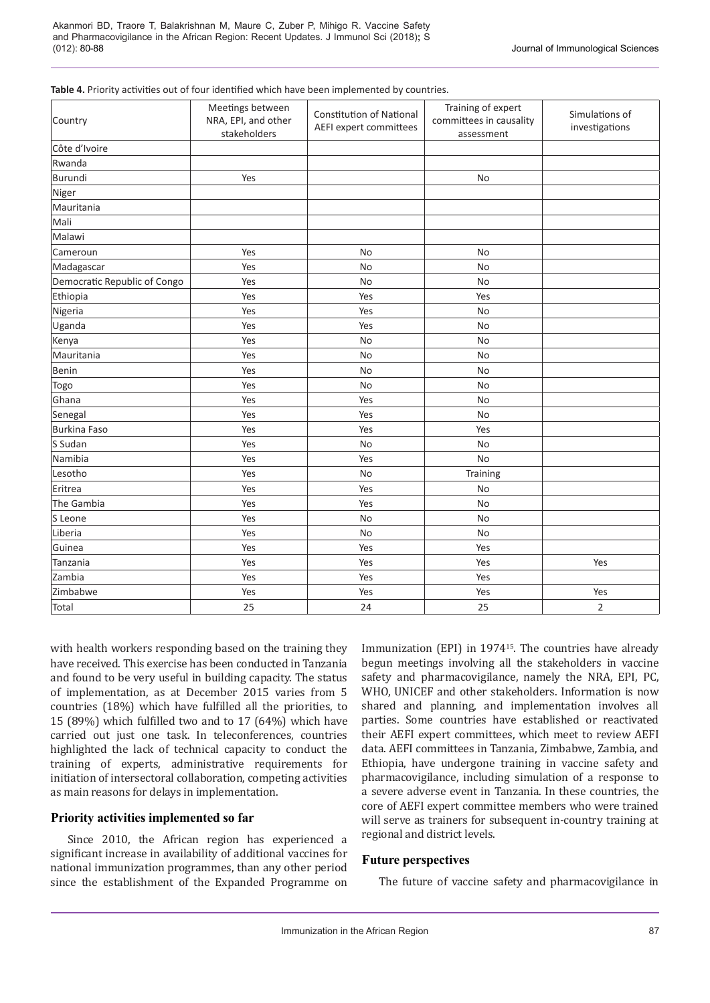| Table 4. Priority activities out of four identified which have been implemented by countries. |  |
|-----------------------------------------------------------------------------------------------|--|
|-----------------------------------------------------------------------------------------------|--|

| Country                      | Meetings between<br>NRA, EPI, and other<br>stakeholders | <b>Constitution of National</b><br>AEFI expert committees | Training of expert<br>committees in causality<br>assessment | Simulations of<br>investigations |
|------------------------------|---------------------------------------------------------|-----------------------------------------------------------|-------------------------------------------------------------|----------------------------------|
| Côte d'Ivoire                |                                                         |                                                           |                                                             |                                  |
| Rwanda                       |                                                         |                                                           |                                                             |                                  |
| Burundi                      | Yes                                                     |                                                           | No                                                          |                                  |
| Niger                        |                                                         |                                                           |                                                             |                                  |
| Mauritania                   |                                                         |                                                           |                                                             |                                  |
| Mali                         |                                                         |                                                           |                                                             |                                  |
| Malawi                       |                                                         |                                                           |                                                             |                                  |
| Cameroun                     | Yes                                                     | No                                                        | <b>No</b>                                                   |                                  |
| Madagascar                   | Yes                                                     | <b>No</b>                                                 | No                                                          |                                  |
| Democratic Republic of Congo | Yes                                                     | No                                                        | No                                                          |                                  |
| Ethiopia                     | Yes                                                     | Yes                                                       | Yes                                                         |                                  |
| Nigeria                      | Yes                                                     | Yes                                                       | No                                                          |                                  |
| Uganda                       | Yes                                                     | Yes                                                       | No                                                          |                                  |
| Kenya                        | Yes                                                     | No                                                        | No                                                          |                                  |
| Mauritania                   | Yes                                                     | No                                                        | No                                                          |                                  |
| Benin                        | Yes                                                     | No                                                        | No                                                          |                                  |
| Togo                         | Yes                                                     | <b>No</b>                                                 | <b>No</b>                                                   |                                  |
| Ghana                        | Yes                                                     | Yes                                                       | <b>No</b>                                                   |                                  |
| Senegal                      | Yes                                                     | Yes                                                       | No                                                          |                                  |
| Burkina Faso                 | Yes                                                     | Yes                                                       | Yes                                                         |                                  |
| S Sudan                      | Yes                                                     | No                                                        | No                                                          |                                  |
| Namibia                      | Yes                                                     | Yes                                                       | No                                                          |                                  |
| Lesotho                      | Yes                                                     | No                                                        | Training                                                    |                                  |
| Eritrea                      | Yes                                                     | Yes                                                       | No                                                          |                                  |
| The Gambia                   | Yes                                                     | Yes                                                       | No                                                          |                                  |
| S Leone                      | Yes                                                     | <b>No</b>                                                 | <b>No</b>                                                   |                                  |
| Liberia                      | Yes                                                     | No                                                        | No                                                          |                                  |
| Guinea                       | Yes                                                     | Yes                                                       | Yes                                                         |                                  |
| Tanzania                     | Yes                                                     | Yes                                                       | Yes                                                         | Yes                              |
| Zambia                       | Yes                                                     | Yes                                                       | Yes                                                         |                                  |
| Zimbabwe                     | Yes                                                     | Yes                                                       | Yes                                                         | Yes                              |
| Total                        | 25                                                      | 24                                                        | 25                                                          | $\overline{2}$                   |

with health workers responding based on the training they have received. This exercise has been conducted in Tanzania and found to be very useful in building capacity. The status of implementation, as at December 2015 varies from 5 countries (18%) which have fulfilled all the priorities, to 15 (89%) which fulfilled two and to 17 (64%) which have carried out just one task. In teleconferences, countries highlighted the lack of technical capacity to conduct the training of experts, administrative requirements for initiation of intersectoral collaboration, competing activities as main reasons for delays in implementation.

# **Priority activities implemented so far**

Since 2010, the African region has experienced a significant increase in availability of additional vaccines for national immunization programmes, than any other period since the establishment of the Expanded Programme on Immunization (EPI) in 1974<sup>15</sup>. The countries have already begun meetings involving all the stakeholders in vaccine safety and pharmacovigilance, namely the NRA, EPI, PC, WHO, UNICEF and other stakeholders. Information is now shared and planning, and implementation involves all parties. Some countries have established or reactivated their AEFI expert committees, which meet to review AEFI data. AEFI committees in Tanzania, Zimbabwe, Zambia, and Ethiopia, have undergone training in vaccine safety and pharmacovigilance, including simulation of a response to a severe adverse event in Tanzania. In these countries, the core of AEFI expert committee members who were trained will serve as trainers for subsequent in-country training at regional and district levels.

# **Future perspectives**

The future of vaccine safety and pharmacovigilance in